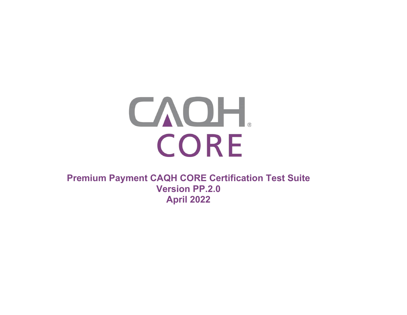

**Premium Payment CAQH CORE Certification Test Suite Version PP.2.0 April 2022**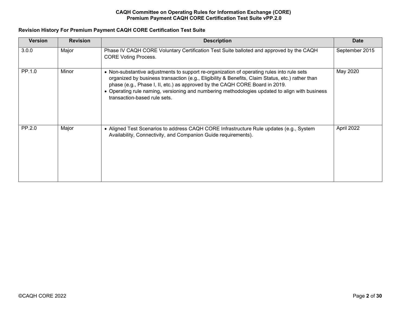# **Revision History For Premium Payment CAQH CORE Certification Test Suite**

| <b>Version</b> | <b>Revision</b> | <b>Description</b>                                                                                                                                                                                                                                                                                                                                                                                              | <b>Date</b>    |
|----------------|-----------------|-----------------------------------------------------------------------------------------------------------------------------------------------------------------------------------------------------------------------------------------------------------------------------------------------------------------------------------------------------------------------------------------------------------------|----------------|
| 3.0.0          | Major           | Phase IV CAQH CORE Voluntary Certification Test Suite balloted and approved by the CAQH<br><b>CORE Voting Process.</b>                                                                                                                                                                                                                                                                                          | September 2015 |
| PP.1.0         | Minor           | • Non-substantive adjustments to support re-organization of operating rules into rule sets<br>organized by business transaction (e.g., Eligibility & Benefits, Claim Status, etc.) rather than<br>phase (e.g., Phase I, II, etc.) as approved by the CAQH CORE Board in 2019.<br>• Operating rule naming, versioning and numbering methodologies updated to align with business<br>transaction-based rule sets. | May 2020       |
| PP.2.0         | Major           | • Aligned Test Scenarios to address CAQH CORE Infrastructure Rule updates (e.g., System<br>Availability, Connectivity, and Companion Guide requirements).                                                                                                                                                                                                                                                       | April 2022     |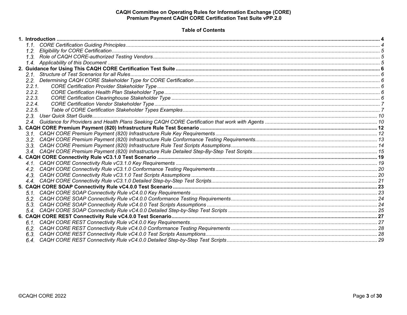# **Table of Contents**

| 2.1    |  |
|--------|--|
|        |  |
| 2.2.1. |  |
| 2.2.2. |  |
| 2.2.3. |  |
| 2.2.4  |  |
| 2.2.5. |  |
|        |  |
|        |  |
|        |  |
|        |  |
|        |  |
|        |  |
|        |  |
|        |  |
|        |  |
|        |  |
|        |  |
|        |  |
|        |  |
|        |  |
|        |  |
|        |  |
|        |  |
|        |  |
|        |  |
|        |  |
|        |  |
|        |  |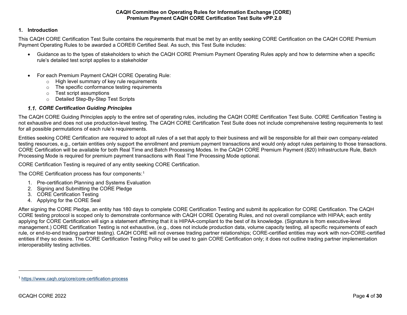# <span id="page-3-2"></span><span id="page-3-0"></span>**1. Introduction**

This CAQH CORE Certification Test Suite contains the requirements that must be met by an entity seeking CORE Certification on the CAQH CORE Premium Payment Operating Rules to be awarded a CORE® Certified Seal. As such, this Test Suite includes:

- Guidance as to the types of stakeholders to which the CAQH CORE Premium Payment Operating Rules apply and how to determine when a specific rule's detailed test script applies to a stakeholder
- For each Premium Payment CAQH CORE Operating Rule:
	- o High level summary of key rule requirements
	- $\circ$  The specific conformance testing requirements
	- o Test script assumptions
	- o Detailed Step-By-Step Test Scripts

# *CORE Certification Guiding Principles*

<span id="page-3-1"></span>The CAQH CORE Guiding Principles apply to the entire set of operating rules, including the CAQH CORE Certification Test Suite. CORE Certification Testing is not exhaustive and does not use production-level testing. The CAQH CORE Certification Test Suite does not include comprehensive testing requirements to test for all possible permutations of each rule's requirements.

Entities seeking CORE Certification are required to adopt all rules of a set that apply to their business and will be responsible for all their own company-related testing resources, e.g., certain entities only support the enrollment and premium payment transactions and would only adopt rules pertaining to those transactions. CORE Certification will be available for both Real Time and Batch Processing Modes. In the CAQH CORE Premium Payment (820) Infrastructure Rule, Batch Processing Mode is required for premium payment transactions with Real Time Processing Mode optional.

CORE Certification Testing is required of any entity seeking CORE Certification.

The CORE Certification process has four components:[1](#page-3-2)

- 1. Pre-certification Planning and Systems Evaluation
- 2. Signing and Submitting the CORE Pledge
- 3. CORE Certification Testing
- 4. Applying for the CORE Seal

After signing the CORE Pledge, an entity has 180 days to complete CORE Certification Testing and submit its application for CORE Certification. The CAQH CORE testing protocol is scoped only to demonstrate conformance with CAQH CORE Operating Rules, and not overall compliance with HIPAA; each entity applying for CORE Certification will sign a statement affirming that it is HIPAA-compliant to the best of its knowledge. (Signature is from executive-level management.) CORE Certification Testing is not exhaustive, (e.g., does not include production data, volume capacity testing, all specific requirements of each rule, or end-to-end trading partner testing). CAQH CORE will not oversee trading partner relationships; CORE-certified entities may work with non-CORE-certified entities if they so desire. The CORE Certification Testing Policy will be used to gain CORE Certification only; it does not outline trading partner implementation interoperability testing activities.

<sup>1</sup> <https://www.caqh.org/core/core-certification-process>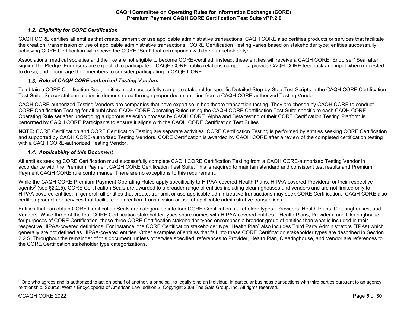# <span id="page-4-3"></span>*Eligibility for CORE Certification*

<span id="page-4-0"></span>CAQH CORE certifies all entities that create, transmit or use applicable administrative transactions. CAQH CORE also certifies products or services that facilitate the creation, transmission or use of applicable administrative transactions. CORE Certification Testing varies based on stakeholder type; entities successfully achieving CORE Certification will receive the CORE "Seal" that corresponds with their stakeholder type.

Associations, medical societies and the like are not eligible to become CORE-certified; instead, these entities will receive a CAQH CORE "Endorser" Seal after signing the Pledge. Endorsers are expected to participate in CAQH CORE public relations campaigns, provide CAQH CORE feedback and input when requested to do so, and encourage their members to consider participating in CAQH CORE.

# *Role of CAQH CORE-authorized Testing Vendors*

<span id="page-4-1"></span>To obtain a CORE Certification Seal, entities must successfully complete stakeholder-specific Detailed Step-by-Step Test Scripts in the CAQH CORE Certification Test Suite. Successful completion is demonstrated through proper documentation from a CAQH CORE-authorized Testing Vendor.

CAQH CORE-authorized Testing Vendors are companies that have expertise in healthcare transaction testing. They are chosen by CAQH CORE to conduct CORE Certification Testing for all published CAQH CORE Operating Rules using the CAQH CORE Certification Test Suite specific to each CAQH CORE Operating Rule set after undergoing a rigorous selection process by CAQH CORE. Alpha and Beta testing of their CORE Certification Testing Platform is performed by CAQH CORE Participants to ensure it aligns with the CAQH CORE Certification Test Suites.

**NOTE:** CORE Certification and CORE Certification Testing are separate activities. CORE Certification Testing is performed by entities seeking CORE Certification and supported by CAQH CORE-authorized Testing Vendors. CORE Certification is awarded by CAQH CORE after a review of the completed certification testing with a CAQH CORE-authorized Testing Vendor.

# *Applicability of this Document*

<span id="page-4-2"></span>All entities seeking CORE Certification must successfully complete CAQH CORE Certification Testing from a CAQH CORE-authorized Testing Vendor in accordance with the Premium Payment CAQH CORE Certification Test Suite. This is required to maintain standard and consistent test results and Premium Payment CAQH CORE rule conformance. There are no exceptions to this requirement.

While the CAQH CORE Premium Payment Operating Rules apply specifically to HIPAA-covered Health Plans, HIPAA-covered Providers, or their respective agents<sup>[2](#page-4-3)</sup> (see §2.2.5), CORE Certification Seals are awarded to a broader range of entities including clearinghouses and vendors and are not limited only to HIPAA-covered entities. In general, all entities that create, transmit or use applicable administrative transactions may seek CORE Certification. CAQH CORE also certifies products or services that facilitate the creation, transmission or use of applicable administrative transactions.

Entities that can obtain CORE Certification Seals are categorized into four CORE Certification stakeholder types: Providers, Health Plans, Clearinghouses, and Vendors. While three of the four CORE Certification stakeholder types share names with HIPAA-covered entities – Health Plans, Providers, and Clearinghouse – for purposes of CORE Certification, these three CORE Certification stakeholder types encompass a broader group of entities than what is included in their respective HIPAA-covered definitions. For instance, the CORE Certification stakeholder type "Health Plan" also includes Third Party Administrators (TPAs) which generally are not defined as HIPAA-covered entities. Other examples of entities that fall into these CORE Certification stakeholder types are described in Section 2.2.5. Throughout the remainder of this document, unless otherwise specified, references to Provider, Health Plan, Clearinghouse, and Vendor are references to the CORE Certification stakeholder type categorizations.

<sup>&</sup>lt;sup>2</sup> One who agrees and is authorized to act on behalf of another, a principal, to legally bind an individual in particular business transactions with third parties pursuant to an agency relationship. Source: West's Encyclopedia of American Law, edition 2. Copyright 2008 The Gale Group, Inc. All rights reserved.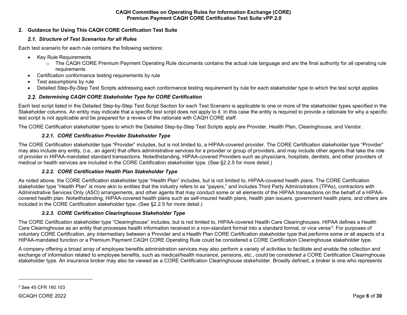# <span id="page-5-1"></span><span id="page-5-0"></span>**2. Guidance for Using This CAQH CORE Certification Test Suite**

# <span id="page-5-6"></span>*Structure of Test Scenarios for all Rules*

Each test scenario for each rule contains the following sections:

- Key Rule Requirements
	- o The CAQH CORE Premium Payment Operating Rule documents contains the actual rule language and are the final authority for all operating rule requirements
- Certification conformance testing requirements by rule
- Test assumptions by rule
- Detailed Step-By-Step Test Scripts addressing each conformance testing requirement by rule for each stakeholder type to which the test script applies

# *Determining CAQH CORE Stakeholder Type for CORE Certification*

<span id="page-5-2"></span>Each test script listed in the Detailed Step-by-Step Test Script Section for each Test Scenario is applicable to one or more of the stakeholder types specified in the Stakeholder columns. An entity may indicate that a specific test script does not apply to it. In this case the entity is required to provide a rationale for why a specific test script is not applicable and be prepared for a review of the rationale with CAQH CORE staff.

The CORE Certification stakeholder types to which the Detailed Step-by-Step Test Scripts apply are Provider, Health Plan, Clearinghouse, and Vendor.

# <span id="page-5-3"></span>*2.2.1. CORE Certification Provider Stakeholder Type*

The CORE Certification stakeholder type "Provider" includes, but is not limited to, a HIPAA-covered provider. The CORE Certification stakeholder type "Provider" may also include any entity, (i.e., an agent) that offers administrative services for a provider or group of providers, and may include other agents that take the role of provider in HIPAA-mandated standard transactions. Notwithstanding, HIPAA-covered Providers such as physicians, hospitals, dentists, and other providers of medical or health services are included in the CORE Certification stakeholder type. (See §2.2.5 for more detail.)

# <span id="page-5-4"></span>*2.2.2. CORE Certification Health Plan Stakeholder Type*

As noted above, the CORE Certification stakeholder type "Health Plan" includes, but is not limited to, HIPAA-covered health plans. The CORE Certification stakeholder type "Health Plan" is more akin to entities that the industry refers to as "payers," and includes Third Party Administrators (TPAs), contractors with Administrative Services Only (ASO) arrangements, and other agents that may conduct some or all elements of the HIPAA transactions on the behalf of a HIPAAcovered health plan. Notwithstanding, HIPAA-covered health plans such as self-insured health plans, health plan issuers, government health plans, and others are included in the CORE Certification stakeholder type. (See §2.2.5 for more detail.)

# <span id="page-5-5"></span>*2.2.3. CORE Certification Clearinghouse Stakeholder Type*

The CORE Certification stakeholder type "Clearinghouse" includes, but is not limited to, HIPAA-covered Health Care Clearinghouses. HIPAA defines a Health Care Clearinghouse as an entity that processes health information received in a non-standard format into a standard format, or vice versa<sup>3</sup>. For purposes of voluntary CORE Certification, any intermediary between a Provider and a Health Plan CORE Certification stakeholder type that performs some or all aspects of a HIPAA-mandated function or a Premium Payment CAQH CORE Operating Rule could be considered a CORE Certification Clearinghouse stakeholder type.

A company offering a broad array of employee benefits administration services may also perform a variety of activities to facilitate and enable the collection and exchange of information related to employee benefits, such as medical/health insurance, pensions, etc., could be considered a CORE Certification Clearinghouse stakeholder type. An insurance broker may also be viewed as a CORE Certification Clearinghouse stakeholder. Broadly defined, a broker is one who represents

<sup>3</sup> See 45 CFR 160.103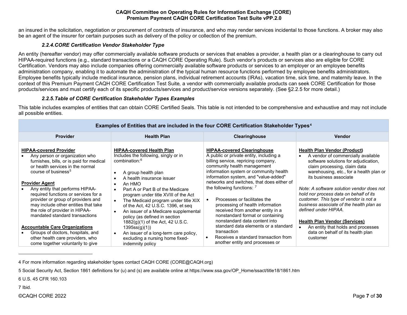an insured in the solicitation, negotiation or procurement of contracts of insurance, and who may render services incidental to those functions. A broker may also be an agent of the insurer for certain purposes such as delivery of the policy or collection of the premium.

# <span id="page-6-5"></span><span id="page-6-4"></span><span id="page-6-3"></span><span id="page-6-2"></span>*2.2.4.CORE Certification Vendor Stakeholder Type*

<span id="page-6-0"></span>An entity (hereafter vendor) may offer commercially available software products or services that enables a provider, a health plan or a clearinghouse to carry out HIPAA-required functions (e.g., standard transactions or a CAQH CORE Operating Rule). Such vendor's products or services also are eligible for CORE Certification. Vendors may also include companies offering commercially available software products or services to an employer or an employee benefits administration company, enabling it to automate the administration of the typical human resource functions performed by employee benefits administrators. Employee benefits typically include medical insurance, pension plans, individual retirement accounts (IRAs), vacation time, sick time, and maternity leave. In the context of this Premium Payment CAQH CORE Certification Test Suite*,* a vendor with commercially available products can seek CORE Certification for those products/services and must certify each of its specific products/services and product/service versions separately. (See §2.2.5 for more detail.)

# *2.2.5.Table of CORE Certification Stakeholder Types Examples*

<span id="page-6-1"></span>This table includes examples of entities that can obtain CORE Certified Seals. This table is not intended to be comprehensive and exhaustive and may not include all possible entities.

|                                                                                                                                                                                                                                                                                                                                                                                                                                          | Examples of Entities that are included in the four CORE Certification Stakeholder Types <sup>4</sup>                                                                                                                                                                                                                                                                                                                                                                                                          |                                                                                                                                                                                                                                                                                                                                                                                                                                                                                                                 |                                                                                                                                                                                                                                                                                                                                                                                                                                                                     |  |  |  |  |  |  |  |  |  |  |
|------------------------------------------------------------------------------------------------------------------------------------------------------------------------------------------------------------------------------------------------------------------------------------------------------------------------------------------------------------------------------------------------------------------------------------------|---------------------------------------------------------------------------------------------------------------------------------------------------------------------------------------------------------------------------------------------------------------------------------------------------------------------------------------------------------------------------------------------------------------------------------------------------------------------------------------------------------------|-----------------------------------------------------------------------------------------------------------------------------------------------------------------------------------------------------------------------------------------------------------------------------------------------------------------------------------------------------------------------------------------------------------------------------------------------------------------------------------------------------------------|---------------------------------------------------------------------------------------------------------------------------------------------------------------------------------------------------------------------------------------------------------------------------------------------------------------------------------------------------------------------------------------------------------------------------------------------------------------------|--|--|--|--|--|--|--|--|--|--|
| <b>Provider</b>                                                                                                                                                                                                                                                                                                                                                                                                                          | <b>Health Plan</b>                                                                                                                                                                                                                                                                                                                                                                                                                                                                                            | Clearinghouse                                                                                                                                                                                                                                                                                                                                                                                                                                                                                                   | <b>Vendor</b>                                                                                                                                                                                                                                                                                                                                                                                                                                                       |  |  |  |  |  |  |  |  |  |  |
| <b>HIPAA-covered Provider</b><br>Any person or organization who<br>furnishes, bills, or is paid for medical<br>or health services in the normal<br>course of business <sup>5</sup><br><b>Provider Agent</b><br>Any entity that performs HIPAA-<br>required functions or services for a<br>provider or group of providers and<br>may include other entities that take<br>the role of provider in HIPAA-<br>mandated standard transactions | <b>HIPAA-covered Health Plan</b><br>Includes the following, singly or in<br>combination: <sup>6</sup><br>A group health plan<br>$\bullet$<br>A health insurance issuer<br>An HMO<br>$\bullet$<br>Part A or Part B of the Medicare<br>$\bullet$<br>program under title XVIII of the Act<br>The Medicaid program under title XIX<br>$\bullet$<br>of the Act, 42 U.S.C. 1396, et seq<br>An issuer of a Medicare supplemental<br>$\bullet$<br>policy (as defined in section<br>$1882(g)(1)$ of the Act, 42 U.S.C. | <b>HIPAA-covered Clearinghouse</b><br>A public or private entity, including a<br>billing service, repricing company,<br>community health management<br>information system or community health<br>information system, and "value-added"<br>networks and switches, that does either of<br>the following functions: $7$<br>Processes or facilitates the<br>$\bullet$<br>processing of health information<br>received from another entity in a<br>nonstandard format or containing<br>nonstandard data content into | <b>Health Plan Vendor (Product)</b><br>A vendor of commercially available<br>software solutions for adjudication,<br>claim processing, claim data<br>warehousing, etc., for a health plan or<br>its business associate<br>Note: A software solution vendor does not<br>hold nor process data on behalf of its<br>customer. This type of vendor is not a<br>business associate of the health plan as<br>defined under HIPAA.<br><b>Health Plan Vendor (Services)</b> |  |  |  |  |  |  |  |  |  |  |
| <b>Accountable Care Organizations</b><br>Groups of doctors, hospitals, and<br>other health care providers, who<br>come together voluntarily to give                                                                                                                                                                                                                                                                                      | 1395ss(g)(1)<br>An issuer of a long-term care policy,<br>$\bullet$<br>excluding a nursing home fixed-<br>indemnity policy                                                                                                                                                                                                                                                                                                                                                                                     | standard data elements or a standard<br>transaction<br>Receives a standard transaction from<br>another entity and processes or                                                                                                                                                                                                                                                                                                                                                                                  | An entity that holds and processes<br>data on behalf of its health plan<br>customer                                                                                                                                                                                                                                                                                                                                                                                 |  |  |  |  |  |  |  |  |  |  |

# **Examples of Entities that are included in the four CORE Certification Stakeholder Types[4](#page-6-2)**

4 For more information regarding stakeholder types contact CAQH CORE (CORE@CAQH.org)

5 Social Security Act, Section 1861 definitions for (u) and (s) are available online a[t https://www.ssa.gov/OP\\_Home/ssact/title18/1861.htm](https://www.ssa.gov/OP_Home/ssact/title18/1861.htm)

6 U.S. 45 CFR 160.103

7 Ibid.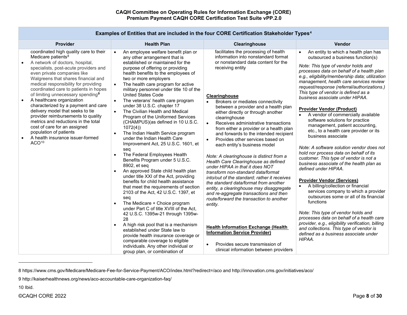| <b>Provider</b>                                                                                                                                                                                                                                                                                                                                                                                                                                                                                                                                                                                                                                                                   | <b>Health Plan</b>                                                                                                                                                                                                                                                                                                                                                                                                                                                                                                                                                                                                                                                                                                                                                                                                                                                                                                                                                                                                                                                                                                                                                                                                                                                                                             | <b>Clearinghouse</b>                                                                                                                                                                                                                                                                                                                                                                                                                                                                                                                                                                                                                                                                                                                                                                                                                                                                                                                                                                                                                                                                                      | Vendor                                                                                                                                                                                                                                                                                                                                                                                                                                                                                                                                                                                                                                                                                                                                                                                                                                                                                                                                                                                                                                                                                                                                                                                                                                 |
|-----------------------------------------------------------------------------------------------------------------------------------------------------------------------------------------------------------------------------------------------------------------------------------------------------------------------------------------------------------------------------------------------------------------------------------------------------------------------------------------------------------------------------------------------------------------------------------------------------------------------------------------------------------------------------------|----------------------------------------------------------------------------------------------------------------------------------------------------------------------------------------------------------------------------------------------------------------------------------------------------------------------------------------------------------------------------------------------------------------------------------------------------------------------------------------------------------------------------------------------------------------------------------------------------------------------------------------------------------------------------------------------------------------------------------------------------------------------------------------------------------------------------------------------------------------------------------------------------------------------------------------------------------------------------------------------------------------------------------------------------------------------------------------------------------------------------------------------------------------------------------------------------------------------------------------------------------------------------------------------------------------|-----------------------------------------------------------------------------------------------------------------------------------------------------------------------------------------------------------------------------------------------------------------------------------------------------------------------------------------------------------------------------------------------------------------------------------------------------------------------------------------------------------------------------------------------------------------------------------------------------------------------------------------------------------------------------------------------------------------------------------------------------------------------------------------------------------------------------------------------------------------------------------------------------------------------------------------------------------------------------------------------------------------------------------------------------------------------------------------------------------|----------------------------------------------------------------------------------------------------------------------------------------------------------------------------------------------------------------------------------------------------------------------------------------------------------------------------------------------------------------------------------------------------------------------------------------------------------------------------------------------------------------------------------------------------------------------------------------------------------------------------------------------------------------------------------------------------------------------------------------------------------------------------------------------------------------------------------------------------------------------------------------------------------------------------------------------------------------------------------------------------------------------------------------------------------------------------------------------------------------------------------------------------------------------------------------------------------------------------------------|
| coordinated high quality care to their<br>Medicare patients <sup>8</sup><br>A network of doctors, hospital,<br>specialists, post-acute providers and<br>even private companies like<br>Walgreens that shares financial and<br>medical responsibility for providing<br>coordinated care to patients in hopes<br>of limiting unnecessary spending <sup>9</sup><br>A healthcare organization<br>$\bullet$<br>characterized by a payment and care<br>delivery model that seeks to tie<br>provider reimbursements to quality<br>metrics and reductions in the total<br>cost of care for an assigned<br>population of patients<br>A health insurance issuer-formed<br>ACO <sup>10</sup> | An employee welfare benefit plan or<br>any other arrangement that is<br>established or maintained for the<br>purpose of offering or providing<br>health benefits to the employees of<br>two or more employers<br>The health care program for active<br>military personnel under title 10 of the<br><b>United States Code</b><br>The veterans' health care program<br>under 38 U.S.C. chapter 17<br>The Civilian Health and Medical<br>Program of the Uniformed Services<br>(CHAMPUS)(as defined in 10 U.S.C.<br>1072(4)<br>The Indian Health Service program<br>under the Indian Health Care<br>Improvement Act, 25 U.S.C. 1601, et<br>seq<br>The Federal Employees Health<br>Benefits Program under 5 U.S.C.<br>8902, et seg<br>An approved State child health plan<br>under title XXI of the Act, providing<br>benefits for child health assistance<br>that meet the requirements of section<br>2103 of the Act, 42 U.S.C. 1397, et<br>seq<br>The Medicare + Choice program<br>under Part C of title XVIII of the Act,<br>42 U.S.C. 1395w-21 through 1395w-<br>28<br>A high risk pool that is a mechanism<br>$\bullet$<br>established under State law to<br>provide health insurance coverage or<br>comparable coverage to eligible<br>individuals. Any other individual or<br>group plan, or combination of | facilitates the processing of health<br>information into nonstandard format<br>or nonstandard data content for the<br>receiving entity<br>Clearinghouse<br>Brokers or mediates connectivity<br>between a provider and a health plan<br>either directly or through another<br>clearinghouse<br>$\bullet$<br>Receives administrative transactions<br>from either a provider or a health plan<br>and forwards to the intended recipient<br>Provides other services based on<br>$\bullet$<br>each entity's business model<br>Note: A clearinghouse is distinct from a<br>Health Care Clearinghouse as defined<br>under HIPAA in that it does NOT<br>transform non-standard data/format<br>into/out of the standard; rather it receives<br>the standard data/format from another<br>entity, a clearinghouse may disaggregate<br>and re-aggregate transactions and then<br>route/forward the transaction to another<br>entity.<br><b>Health Information Exchange (Health)</b><br><b>Information Service Provider)</b><br>Provides secure transmission of<br>$\bullet$<br>clinical information between providers | An entity to which a health plan has<br>outsourced a business function(s)<br>Note: This type of vendor holds and<br>processes data on behalf of a health plan<br>e.g., eligibility/membership data; utilization<br>management, health care services review<br>request/response (referral/authorizations.)<br>This type of vendor is defined as a<br>business associate under HIPAA.<br><b>Provider Vendor (Product)</b><br>A vendor of commercially available<br>software solutions for practice<br>management, patient accounting,<br>etc., to a health care provider or its<br>business associate<br>Note: A software solution vendor does not<br>hold nor process data on behalf of its<br>customer. This type of vendor is not a<br>business associate of the health plan as<br>defined under HIPAA.<br><b>Provider Vendor (Services)</b><br>A billing/collection or financial<br>$\bullet$<br>services company to which a provider<br>outsources some or all of its financial<br>functions<br>Note: This type of vendor holds and<br>processes data on behalf of a health care<br>provider, e.g., eligibility verification, billing<br>and collections. This type of vendor is<br>defined as a business associate under<br>HIPAA. |

# <span id="page-7-2"></span><span id="page-7-1"></span><span id="page-7-0"></span>**Examples of Entities that are included in the four CORE Certification Stakeholder Types[4](#page-6-2)**

[9 http://kaiserhealthnews.org/news/aco-accountable-care-organization-faq/](http://kaiserhealthnews.org/news/aco-accountable-care-organization-faq/)

10 Ibid.

[<sup>8</sup> https://www.cms.gov/Medicare/Medicare-Fee-for-Service-Payment/ACO/index.html?redirect=/aco](https://www.cms.gov/Medicare/Medicare-Fee-for-Service-Payment/ACO/index.html?redirect=/aco) an[d http://innovation.cms.gov/initiatives/aco/](http://innovation.cms.gov/initiatives/aco/)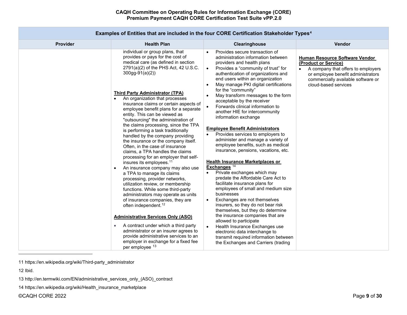|                 | <b>Examples of Entities that are included in the four CORE Certification Stakeholder Types</b> <sup>4</sup>                                                                                                                                                                                                                                                                                                                                                                                                                                                                                                                                                                                                                                                                                                                                                                                                                                                                                                                                                                                                                                                                                                                                                                               |                                                                                                                                                                                                                                                                                                                                                                                                                                                                                                                                                                                                                                                                                                                                                                                                                                                                                                                                                                                                                                                                                                                                                                                                                                                                                                           |                                                                                                                                                                                                  |
|-----------------|-------------------------------------------------------------------------------------------------------------------------------------------------------------------------------------------------------------------------------------------------------------------------------------------------------------------------------------------------------------------------------------------------------------------------------------------------------------------------------------------------------------------------------------------------------------------------------------------------------------------------------------------------------------------------------------------------------------------------------------------------------------------------------------------------------------------------------------------------------------------------------------------------------------------------------------------------------------------------------------------------------------------------------------------------------------------------------------------------------------------------------------------------------------------------------------------------------------------------------------------------------------------------------------------|-----------------------------------------------------------------------------------------------------------------------------------------------------------------------------------------------------------------------------------------------------------------------------------------------------------------------------------------------------------------------------------------------------------------------------------------------------------------------------------------------------------------------------------------------------------------------------------------------------------------------------------------------------------------------------------------------------------------------------------------------------------------------------------------------------------------------------------------------------------------------------------------------------------------------------------------------------------------------------------------------------------------------------------------------------------------------------------------------------------------------------------------------------------------------------------------------------------------------------------------------------------------------------------------------------------|--------------------------------------------------------------------------------------------------------------------------------------------------------------------------------------------------|
| <b>Provider</b> | <b>Health Plan</b>                                                                                                                                                                                                                                                                                                                                                                                                                                                                                                                                                                                                                                                                                                                                                                                                                                                                                                                                                                                                                                                                                                                                                                                                                                                                        | Clearinghouse                                                                                                                                                                                                                                                                                                                                                                                                                                                                                                                                                                                                                                                                                                                                                                                                                                                                                                                                                                                                                                                                                                                                                                                                                                                                                             | Vendor                                                                                                                                                                                           |
|                 | individual or group plans, that<br>provides or pays for the cost of<br>medical care (as defined in section<br>2791(a)(2) of the PHS Act, 42 U.S.C.<br>$300gg-91(a)(2)$<br><b>Third Party Administrator (TPA)</b><br>An organization that processes<br>insurance claims or certain aspects of<br>employee benefit plans for a separate<br>entity. This can be viewed as<br>"outsourcing" the administration of<br>the claims processing, since the TPA<br>is performing a task traditionally<br>handled by the company providing<br>the insurance or the company itself.<br>Often, in the case of insurance<br>claims, a TPA handles the claims<br>processing for an employer that self-<br>insures its employees. <sup>11</sup><br>An insurance company may also use<br>$\bullet$<br>a TPA to manage its claims<br>processing, provider networks,<br>utilization review, or membership<br>functions. While some third-party<br>administrators may operate as units<br>of insurance companies, they are<br>often independent. <sup>12</sup><br><b>Administrative Services Only (ASO)</b><br>A contract under which a third party<br>$\bullet$<br>administrator or an insurer agrees to<br>provide administrative services to an<br>employer in exchange for a fixed fee<br>per employee 13 | Provides secure transaction of<br>$\bullet$<br>administration information between<br>providers and health plans<br>Provides a "community of trust" for<br>$\bullet$<br>authentication of organizations and<br>end users within an organization<br>May manage PKI digital certifications<br>for the "community"<br>May transform messages to the form<br>$\bullet$<br>acceptable by the receiver<br>Forwards clinical information to<br>$\bullet$<br>another HIE for intercommunity<br>information exchange<br><b>Employee Benefit Administrators</b><br>Provides services to employers to<br>$\bullet$<br>administer and manage a variety of<br>employee benefits, such as medical<br>insurance, pensions, vacations, etc.<br><b>Health Insurance Marketplaces or</b><br>Exchanges $14$<br>Private exchanges which may<br>predate the Affordable Care Act to<br>facilitate insurance plans for<br>employees of small and medium size<br>businesses<br>Exchanges are not themselves<br>$\bullet$<br>insurers, so they do not bear risk<br>themselves, but they do determine<br>the insurance companies that are<br>allowed to participate<br>Health Insurance Exchanges use<br>$\bullet$<br>electronic data interchange to<br>transmit required information between<br>the Exchanges and Carriers (trading | Human Resource Software Vendor<br>(Product or Service)<br>A company that offers to employers<br>or employee benefit administrators<br>commercially available software or<br>cloud-based services |

#### <span id="page-8-3"></span><span id="page-8-2"></span><span id="page-8-1"></span><span id="page-8-0"></span>**Examples of Entities that are included in the four CORE Certification Stakeholder Types[4](#page-6-2)**

©CAQH CORE 2022 Page **9** of **30**

<sup>11</sup> [https://en.wikipedia.org/wiki/Third-party\\_administrator](https://en.wikipedia.org/wiki/Third-party_administrator)

<sup>12</sup> Ibid.

<sup>13</sup> [http://en.termwiki.com/EN/administrative\\_services\\_only\\_\(ASO\)\\_contract](http://en.termwiki.com/EN/administrative_services_only_(ASO)_contract)

<sup>14</sup> [https://en.wikipedia.org/wiki/Health\\_insurance\\_marketplace](https://en.wikipedia.org/wiki/Health_insurance_marketplace)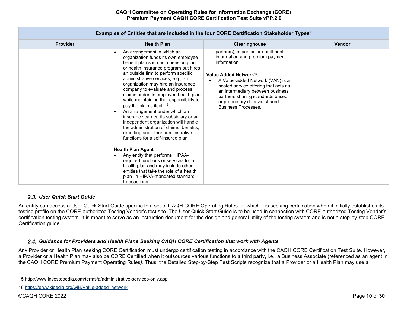| <b>Provider</b> | <b>Health Plan</b>                                                                                                                                                                                                                                                                                                                                                                                                                                                                                                                                                                                                                                                                                                                                                                                                                                                                                         | Clearinghouse                                                                                                                                                                                                                                                                                                                                  | <b>Vendor</b> |
|-----------------|------------------------------------------------------------------------------------------------------------------------------------------------------------------------------------------------------------------------------------------------------------------------------------------------------------------------------------------------------------------------------------------------------------------------------------------------------------------------------------------------------------------------------------------------------------------------------------------------------------------------------------------------------------------------------------------------------------------------------------------------------------------------------------------------------------------------------------------------------------------------------------------------------------|------------------------------------------------------------------------------------------------------------------------------------------------------------------------------------------------------------------------------------------------------------------------------------------------------------------------------------------------|---------------|
|                 | An arrangement in which an<br>organization funds its own employee<br>benefit plan such as a pension plan<br>or health insurance program but hires<br>an outside firm to perform specific<br>administrative services, e.g., an<br>organization may hire an insurance<br>company to evaluate and process<br>claims under its employee health plan<br>while maintaining the responsibility to<br>pay the claims itself 15<br>An arrangement under which an<br>insurance carrier, its subsidiary or an<br>independent organization will handle<br>the administration of claims, benefits,<br>reporting and other administrative<br>functions for a self-insured plan<br><b>Health Plan Agent</b><br>Any entity that performs HIPAA-<br>required functions or services for a<br>health plan and may include other<br>entities that take the role of a health<br>plan in HIPAA-mandated standard<br>transactions | partners), in particular enrollment<br>information and premium payment<br>information<br>Value Added Network <sup>16</sup><br>A Value-added Network (VAN) is a<br>hosted service offering that acts as<br>an intermediary between business<br>partners sharing standards based<br>or proprietary data via shared<br><b>Business Processes.</b> |               |

# <span id="page-9-3"></span><span id="page-9-2"></span>**Examples of Entities that are included in the four CORE Certification Stakeholder Types[4](#page-6-2)**

# *User Quick Start Guide*

<span id="page-9-0"></span>An entity can access a User Quick Start Guide specific to a set of CAQH CORE Operating Rules for which it is seeking certification when it initially establishes its testing profile on the CORE-authorized Testing Vendor's test site. The User Quick Start Guide is to be used in connection with CORE-authorized Testing Vendor's certification testing system. It is meant to serve as an instruction document for the design and general utility of the testing system and is not a step-by-step CORE Certification guide.

# *Guidance for Providers and Health Plans Seeking CAQH CORE Certification that work with Agents*

<span id="page-9-1"></span>Any Provider or Health Plan seeking CORE Certification must undergo certification testing in accordance with the CAQH CORE Certification Test Suite. However, a Provider or a Health Plan may also be CORE Certified when it outsources various functions to a third party, i.e., a Business Associate (referenced as an agent in the CAQH CORE Premium Payment Operating Rules*)*. Thus, the Detailed Step-by-Step Test Scripts recognize that a Provider or a Health Plan may use a

<sup>15</sup> <http://www.investopedia.com/terms/a/administrative-services-only.asp>

<sup>16</sup> [https://en.wikipedia.org/wiki/Value-added\\_network](https://en.wikipedia.org/wiki/Value-added_network)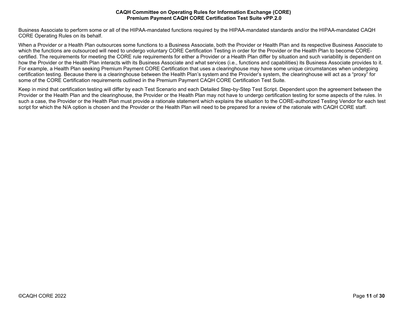Business Associate to perform some or all of the HIPAA-mandated functions required by the HIPAA-mandated standards and/or the HIPAA-mandated CAQH CORE Operating Rules on its behalf.

When a Provider or a Health Plan outsources some functions to a Business Associate, both the Provider or Health Plan and its respective Business Associate to which the functions are outsourced will need to undergo voluntary CORE Certification Testing in order for the Provider or the Health Plan to become COREcertified. The requirements for meeting the CORE rule requirements for either a Provider or a Health Plan differ by situation and such variability is dependent on how the Provider or the Health Plan interacts with its Business Associate and what services (i.e., functions and capabilities) its Business Associate provides to it. For example, a Health Plan seeking Premium Payment CORE Certification that uses a clearinghouse may have some unique circumstances when undergoing certification testing. Because there is a clearinghouse between the Health Plan's system and the Provider's system, the clearinghouse will act as a "proxy" for some of the CORE Certification requirements outlined in the Premium Payment CAQH CORE Certification Test Suite*.*

Keep in mind that certification testing will differ by each Test Scenario and each Detailed Step-by-Step Test Script. Dependent upon the agreement between the Provider or the Health Plan and the clearinghouse, the Provider or the Health Plan may not have to undergo certification testing for some aspects of the rules. In such a case, the Provider or the Health Plan must provide a rationale statement which explains the situation to the CORE-authorized Testing Vendor for each test script for which the N/A option is chosen and the Provider or the Health Plan will need to be prepared for a review of the rationale with CAQH CORE staff.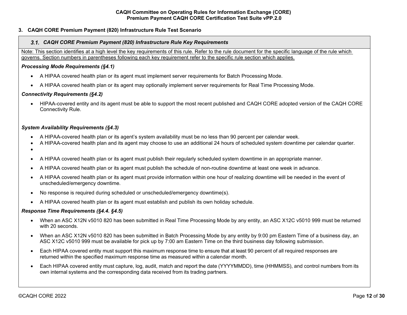# <span id="page-11-0"></span>**3. CAQH CORE Premium Payment (820) Infrastructure Rule Test Scenario**

### <span id="page-11-1"></span> *CAQH CORE Premium Payment (820) Infrastructure Rule Key Requirements*

Note: This section identifies at a high level the key requirements of this rule. Refer to the rule document for the specific language of the rule which governs. Section numbers in parentheses following each key requirement refer to the specific rule section which applies.

### *Processing Mode Requirements (§4.1)*

- A HIPAA covered health plan or its agent must implement server requirements for Batch Processing Mode.
- A HIPAA covered health plan or its agent may optionally implement server requirements for Real Time Processing Mode.

# *Connectivity Requirements (§4.2)*

• HIPAA-covered entity and its agent must be able to support the most recent published and CAQH CORE adopted version of the CAQH CORE Connectivity Rule.

# *System Availability Requirements (§4.3)*

- A HIPAA-covered health plan or its agent's system availability must be no less than 90 percent per calendar week.
- A HIPAA-covered health plan and its agent may choose to use an additional 24 hours of scheduled system downtime per calendar quarter.
- •
- A HIPAA covered health plan or its agent must publish their regularly scheduled system downtime in an appropriate manner.
- A HIPAA covered health plan or its agent must publish the schedule of non-routine downtime at least one week in advance.
- A HIPAA covered health plan or its agent must provide information within one hour of realizing downtime will be needed in the event of unscheduled/emergency downtime.
- No response is required during scheduled or unscheduled/emergency downtime(s).
- A HIPAA covered health plan or its agent must establish and publish its own holiday schedule.

# *Response Time Requirements (§4.4. §4.5)*

- When an ASC X12N v5010 820 has been submitted in Real Time Processing Mode by any entity, an ASC X12C v5010 999 must be returned with 20 seconds.
- When an ASC X12N v5010 820 has been submitted in Batch Processing Mode by any entity by 9:00 pm Eastern Time of a business day, an ASC X12C v5010 999 must be available for pick up by 7:00 am Eastern Time on the third business day following submission.
- Each HIPAA covered entity must support this maximum response time to ensure that at least 90 percent of all required responses are returned within the specified maximum response time as measured within a calendar month.
- Each HIPAA covered entity must capture, log, audit, match and report the date (YYYYMMDD), time (HHMMSS), and control numbers from its own internal systems and the corresponding data received from its trading partners.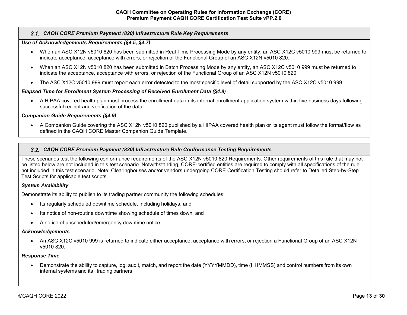# *CAQH CORE Premium Payment (820) Infrastructure Rule Key Requirements*

### *Use of Acknowledgements Requirements (§4.5, §4.7)*

- When an ASC X12N v5010 820 has been submitted in Real Time Processing Mode by any entity, an ASC X12C v5010 999 must be returned to indicate acceptance, acceptance with errors, or rejection of the Functional Group of an ASC X12N v5010 820.
- When an ASC X12N v5010 820 has been submitted in Batch Processing Mode by any entity, an ASC X12C v5010 999 must be returned to indicate the acceptance, acceptance with errors, or rejection of the Functional Group of an ASC X12N v5010 820.
- The ASC X12C v5010 999 must report each error detected to the most specific level of detail supported by the ASC X12C v5010 999.

# *Elapsed Time for Enrollment System Processing of Received Enrollment Data (§4.8)*

• A HIPAA covered health plan must process the enrollment data in its internal enrollment application system within five business days following successful receipt and verification of the data.

#### *Companion Guide Requirements (§4.9)*

• A Companion Guide covering the ASC X12N v5010 820 published by a HIPAA covered health plan or its agent must follow the format/flow as defined in the CAQH CORE Master Companion Guide Template.

#### <span id="page-12-0"></span>*CAQH CORE Premium Payment (820) Infrastructure Rule Conformance Testing Requirements*

These scenarios test the following conformance requirements of the ASC X12N v5010 820 Requirements. Other requirements of this rule that may not be listed below are not included in this test scenario. Notwithstanding, CORE-certified entities are required to comply with all specifications of the rule not included in this test scenario. Note: Clearinghouses and/or vendors undergoing CORE Certification Testing should refer to Detailed Step-by-Step Test Scripts for applicable test scripts.

#### *System Availability*

Demonstrate its ability to publish to its trading partner community the following schedules:

- Its regularly scheduled downtime schedule, including holidays, and
- Its notice of non-routine downtime showing schedule of times down, and
- A notice of unscheduled/emergency downtime notice.

#### *Acknowledgements*

• An ASC X12C v5010 999 is returned to indicate either acceptance, acceptance with errors, or rejection a Functional Group of an ASC X12N v5010 820.

#### *Response Time*

• Demonstrate the ability to capture, log, audit, match, and report the date (YYYYMMDD), time (HHMMSS) and control numbers from its own internal systems and its trading partners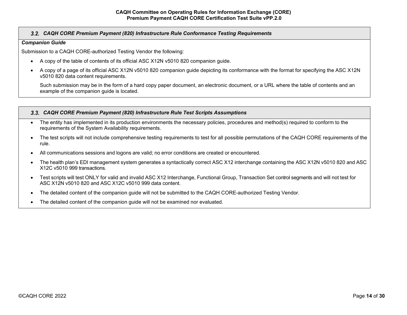# *CAQH CORE Premium Payment (820) Infrastructure Rule Conformance Testing Requirements*

#### *Companion Guide*

Submission to a CAQH CORE-authorized Testing Vendor the following:

- A copy of the table of contents of its official ASC X12N v5010 820 companion guide.
- A copy of a page of its official ASC X12N v5010 820 companion guide depicting its conformance with the format for specifying the ASC X12N v5010 820 data content requirements.

Such submission may be in the form of a hard copy paper document, an electronic document, or a URL where the table of contents and an example of the companion guide is located.

#### <span id="page-13-0"></span>*CAQH CORE Premium Payment (820) Infrastructure Rule Test Scripts Assumptions*

- The entity has implemented in its production environments the necessary policies, procedures and method(s) required to conform to the requirements of the System Availability requirements.
- The test scripts will not include comprehensive testing requirements to test for all possible permutations of the CAQH CORE requirements of the rule.
- All communications sessions and logons are valid; no error conditions are created or encountered.
- The health plan's EDI management system generates a syntactically correct ASC X12 interchange containing the ASC X12N v5010 820 and ASC X12C v5010 999 transactions.
- Test scripts will test ONLY for valid and invalid ASC X12 Interchange, Functional Group, Transaction Set control segments and will not test for ASC X12N v5010 820 and ASC X12C v5010 999 data content.
- The detailed content of the companion guide will not be submitted to the CAQH CORE-authorized Testing Vendor.
- The detailed content of the companion guide will not be examined nor evaluated.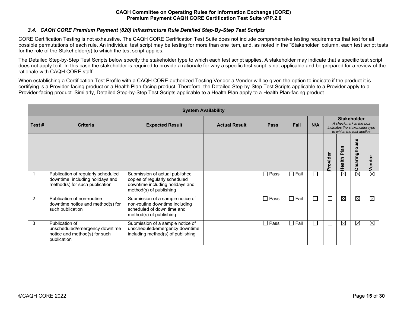# <span id="page-14-0"></span> *CAQH CORE Premium Payment (820) Infrastructure Rule Detailed Step-By-Step Test Scripts*

CORE Certification Testing is not exhaustive. The CAQH CORE Certification Test Suite does not include comprehensive testing requirements that test for all possible permutations of each rule. An individual test script may be testing for more than one item, and, as noted in the "Stakeholder" column, each test script tests for the role of the Stakeholder(s) to which the test script applies.

The Detailed Step-by-Step Test Scripts below specify the stakeholder type to which each test script applies. A stakeholder may indicate that a specific test script does not apply to it. In this case the stakeholder is required to provide a rationale for why a specific test script is not applicable and be prepared for a review of the rationale with CAQH CORE staff.

When establishing a Certification Test Profile with a CAQH CORE-authorized Testing Vendor a Vendor will be given the option to indicate if the product it is certifying is a Provider-facing product or a Health Plan-facing product. Therefore, the Detailed Step-by-Step Test Scripts applicable to a Provider apply to a Provider-facing product. Similarly, Detailed Step-by-Step Test Scripts applicable to a Health Plan apply to a Health Plan-facing product.

|       | <b>System Availability</b>                                                                               |                                                                                                                               |                      |                |                |                          |                                                                                                             |                                           |                   |             |  |  |
|-------|----------------------------------------------------------------------------------------------------------|-------------------------------------------------------------------------------------------------------------------------------|----------------------|----------------|----------------|--------------------------|-------------------------------------------------------------------------------------------------------------|-------------------------------------------|-------------------|-------------|--|--|
| Test# | <b>Criteria</b>                                                                                          | <b>Expected Result</b>                                                                                                        | <b>Actual Result</b> | <b>Pass</b>    | Fail           | N/A                      | <b>Stakeholder</b><br>A checkmark in the box<br>indicates the stakeholder type<br>to which the test applies |                                           |                   |             |  |  |
|       |                                                                                                          |                                                                                                                               |                      |                |                |                          | Provider                                                                                                    | Plan<br>alth<br>$\ddot{\mathbf{0}}$<br>Ĩ. | ω<br>Clearinghous | Vendor      |  |  |
|       | Publication of regularly scheduled<br>downtime, including holidays and<br>method(s) for such publication | Submission of actual published<br>copies of regularly scheduled<br>downtime including holidays and<br>method(s) of publishing |                      | □ Pass         | $\Box$ Fail    | $\overline{\phantom{a}}$ |                                                                                                             | ⊠                                         | $\boxtimes$       | $\boxtimes$ |  |  |
| 2     | Publication of non-routine<br>downtime notice and method(s) for<br>such publication                      | Submission of a sample notice of<br>non-routine downtime including<br>scheduled of down time and<br>method(s) of publishing   |                      | $\square$ Pass | $\square$ Fail | ப                        | $\mathcal{L}$                                                                                               | ⊠                                         | $\boxtimes$       | ⊠           |  |  |
| 3     | Publication of<br>unscheduled/emergency downtime<br>notice and method(s) for such<br>publication         | Submission of a sample notice of<br>unscheduled/emergency downtime<br>including method(s) of publishing                       |                      | $\square$ Pass | $\Box$ Fail    | $\overline{\phantom{a}}$ |                                                                                                             | ⊠                                         | $\boxtimes$       | ⊠           |  |  |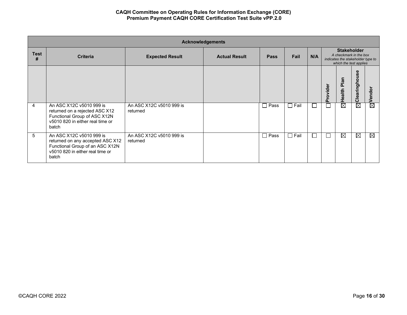|                  | <b>Acknowledgements</b>                                                                                                                      |                                      |                      |             |             |     |                                                                                                             |                                 |               |                        |  |  |
|------------------|----------------------------------------------------------------------------------------------------------------------------------------------|--------------------------------------|----------------------|-------------|-------------|-----|-------------------------------------------------------------------------------------------------------------|---------------------------------|---------------|------------------------|--|--|
| <b>Test</b><br># | <b>Criteria</b>                                                                                                                              | <b>Expected Result</b>               | <b>Actual Result</b> | <b>Pass</b> | Fail        | N/A | <b>Stakeholder</b><br>A checkmark in the box<br>indicates the stakeholder type to<br>which the test applies |                                 |               |                        |  |  |
|                  |                                                                                                                                              |                                      |                      |             |             |     | rovider<br>൨                                                                                                | Plan<br>alth<br>$\bullet$<br>T. | Clearinghouse | ndor<br>ق              |  |  |
| 4                | An ASC X12C v5010 999 is<br>returned on a rejected ASC X12<br>Functional Group of ASC X12N<br>v5010 820 in either real time or<br>batch      | An ASC X12C v5010 999 is<br>returned |                      | $\Box$ Pass | $\Box$ Fail |     |                                                                                                             | $\boxtimes$                     | ⊠             | $\boxtimes$            |  |  |
| 5                | An ASC X12C v5010 999 is<br>returned on any accepted ASC X12<br>Functional Group of an ASC X12N<br>v5010 820 in either real time or<br>batch | An ASC X12C v5010 999 is<br>returned |                      | $\Box$ Pass | $\Box$ Fail |     |                                                                                                             | $\boxtimes$                     | ⊠             | $\overline{\boxtimes}$ |  |  |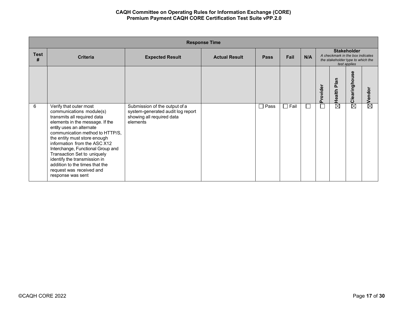|                  | <b>Response Time</b>                                                                                                                                                                                                                                                                                                                                                                                                                       |                                                                                                             |                      |                |                      |        |          |                                                                                                             |                   |                    |  |
|------------------|--------------------------------------------------------------------------------------------------------------------------------------------------------------------------------------------------------------------------------------------------------------------------------------------------------------------------------------------------------------------------------------------------------------------------------------------|-------------------------------------------------------------------------------------------------------------|----------------------|----------------|----------------------|--------|----------|-------------------------------------------------------------------------------------------------------------|-------------------|--------------------|--|
| <b>Test</b><br># | <b>Criteria</b>                                                                                                                                                                                                                                                                                                                                                                                                                            | <b>Expected Result</b>                                                                                      | <b>Actual Result</b> | <b>Pass</b>    | Fail                 | N/A    |          | <b>Stakeholder</b><br>A checkmark in the box indicates<br>the stakeholder type to which the<br>test applies |                   |                    |  |
|                  |                                                                                                                                                                                                                                                                                                                                                                                                                                            |                                                                                                             |                      |                |                      |        | Provider | Plan<br><b>Health</b>                                                                                       | ω<br>Clearinghous | $\boxtimes$ Vendor |  |
| 6                | Verify that outer most<br>communications module(s)<br>transmits all required data<br>elements in the message. If the<br>entity uses an alternate<br>communication method to HTTP/S.<br>the entity must store enough<br>information from the ASC X12<br>Interchange, Functional Group and<br>Transaction Set to uniquely<br>identify the transmission in<br>addition to the times that the<br>request was received and<br>response was sent | Submission of the output of a<br>system-generated audit log report<br>showing all required data<br>elements |                      | $\square$ Pass | Fail<br>$\mathbf{I}$ | $\Box$ |          | ⊠                                                                                                           | ⊠                 |                    |  |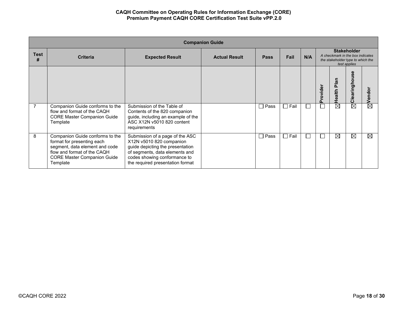|                  | <b>Companion Guide</b>                                                                                                                                                           |                                                                                                                                                                                                       |                      |                |             |     |          |                                                                                                             |                    |             |  |  |
|------------------|----------------------------------------------------------------------------------------------------------------------------------------------------------------------------------|-------------------------------------------------------------------------------------------------------------------------------------------------------------------------------------------------------|----------------------|----------------|-------------|-----|----------|-------------------------------------------------------------------------------------------------------------|--------------------|-------------|--|--|
| <b>Test</b><br># | <b>Criteria</b>                                                                                                                                                                  | <b>Expected Result</b>                                                                                                                                                                                | <b>Actual Result</b> | <b>Pass</b>    | Fail        | N/A |          | <b>Stakeholder</b><br>A checkmark in the box indicates<br>the stakeholder type to which the<br>test applies |                    |             |  |  |
|                  |                                                                                                                                                                                  |                                                                                                                                                                                                       |                      |                |             |     | Provider | Health Plan                                                                                                 | မ္တ<br>Clearinghou | Vendor      |  |  |
| 7                | Companion Guide conforms to the<br>flow and format of the CAQH<br><b>CORE Master Companion Guide</b><br>Template                                                                 | Submission of the Table of<br>Contents of the 820 companion<br>guide, including an example of the<br>ASC X12N v5010 820 content<br>requirements                                                       |                      | $\square$ Pass | $\Box$ Fail |     |          | ⊠                                                                                                           | ⊠                  | $\boxtimes$ |  |  |
| 8                | Companion Guide conforms to the<br>format for presenting each<br>segment, data element and code<br>flow and format of the CAQH<br><b>CORE Master Companion Guide</b><br>Template | Submission of a page of the ASC<br>X12N v5010 820 companion<br>guide depicting the presentation<br>of segments, data elements and<br>codes showing conformance to<br>the required presentation format |                      | П<br>Pass      | $\Box$ Fail |     |          | ⊠                                                                                                           | ⊠                  | ⊠           |  |  |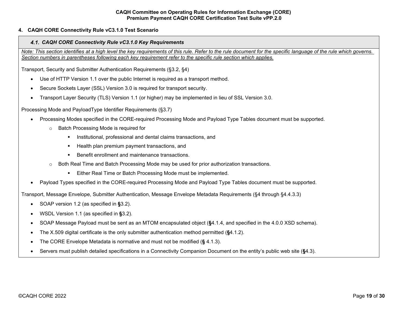# <span id="page-18-1"></span><span id="page-18-0"></span>**4. CAQH CORE Connectivity Rule vC3.1.0 Test Scenario**

#### *CAQH CORE Connectivity Rule vC3.1.0 Key Requirements*

*Note: This section identifies at a high level the key requirements of this rule. Refer to the rule document for the specific language of the rule which governs. Section numbers in parentheses following each key requirement refer to the specific rule section which applies.*

Transport, Security and Submitter Authentication Requirements (§3.2, §4)

- Use of HTTP Version 1.1 over the public Internet is required as a transport method.
- Secure Sockets Layer (SSL) Version 3.0 is required for transport security.
- Transport Layer Security (TLS) Version 1.1 (or higher) may be implemented in lieu of SSL Version 3.0.

Processing Mode and PayloadType Identifier Requirements (§3.7)

- Processing Modes specified in the CORE-required Processing Mode and Payload Type Tables document must be supported.
	- o Batch Processing Mode is required for
		- **Institutional, professional and dental claims transactions, and**
		- **Health plan premium payment transactions, and**
		- **Benefit enrollment and maintenance transactions.**
	- $\circ$  Both Real Time and Batch Processing Mode may be used for prior authorization transactions.
		- **Either Real Time or Batch Processing Mode must be implemented.**
- Payload Types specified in the CORE-required Processing Mode and Payload Type Tables document must be supported.

Transport, Message Envelope, Submitter Authentication, Message Envelope Metadata Requirements (§4 through §4.4.3.3)

- SOAP version 1.2 (as specified in **§**3.2).
- WSDL Version 1.1 (as specified in **§**3.2).
- SOAP Message Payload must be sent as an MTOM encapsulated object (**§**4.1.4, and specified in the 4.0.0 XSD schema).
- The X.509 digital certificate is the only submitter authentication method permitted (**§**4.1.2).
- The CORE Envelope Metadata is normative and must not be modified (**§** 4.1.3).
- Servers must publish detailed specifications in a Connectivity Companion Document on the entity's public web site (**§**4.3).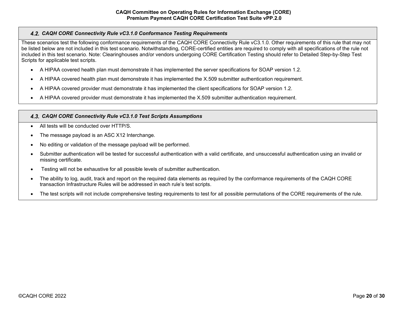# <span id="page-19-0"></span>*CAQH CORE Connectivity Rule vC3.1.0 Conformance Testing Requirements*

These scenarios test the following conformance requirements of the CAQH CORE Connectivity Rule vC3.1.0. Other requirements of this rule that may not be listed below are not included in this test scenario. Notwithstanding, CORE-certified entities are required to comply with all specifications of the rule not included in this test scenario. Note: Clearinghouses and/or vendors undergoing CORE Certification Testing should refer to Detailed Step-by-Step Test Scripts for applicable test scripts.

- A HIPAA covered health plan must demonstrate it has implemented the server specifications for SOAP version 1.2.
- A HIPAA covered health plan must demonstrate it has implemented the X.509 submitter authentication requirement.
- A HIPAA covered provider must demonstrate it has implemented the client specifications for SOAP version 1.2.
- A HIPAA covered provider must demonstrate it has implemented the X.509 submitter authentication requirement.

# <span id="page-19-1"></span>*CAQH CORE Connectivity Rule vC3.1.0 Test Scripts Assumptions*

- All tests will be conducted over HTTP/S.
- The message payload is an ASC X12 Interchange.
- No editing or validation of the message payload will be performed.
- Submitter authentication will be tested for successful authentication with a valid certificate, and unsuccessful authentication using an invalid or missing certificate.
- Testing will not be exhaustive for all possible levels of submitter authentication.
- The ability to log, audit, track and report on the required data elements as required by the conformance requirements of the CAQH CORE transaction Infrastructure Rules will be addressed in each rule's test scripts.
- The test scripts will not include comprehensive testing requirements to test for all possible permutations of the CORE requirements of the rule.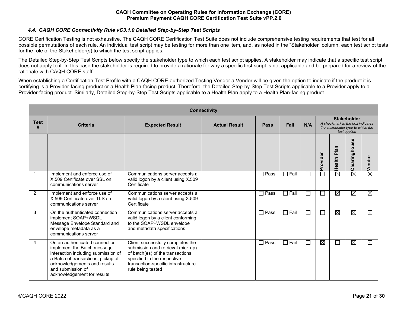# <span id="page-20-0"></span>*CAQH CORE Connectivity Rule vC3.1.0 Detailed Step-by-Step Test Scripts*

CORE Certification Testing is not exhaustive. The CAQH CORE Certification Test Suite does not include comprehensive testing requirements that test for all possible permutations of each rule. An individual test script may be testing for more than one item, and, as noted in the "Stakeholder" column, each test script tests for the role of the Stakeholder(s) to which the test script applies.

The Detailed Step-by-Step Test Scripts below specify the stakeholder type to which each test script applies. A stakeholder may indicate that a specific test script does not apply to it. In this case the stakeholder is required to provide a rationale for why a specific test script is not applicable and be prepared for a review of the rationale with CAQH CORE staff.

When establishing a Certification Test Profile with a CAQH CORE-authorized Testing Vendor a Vendor will be given the option to indicate if the product it is certifying is a Provider-facing product or a Health Plan-facing product. Therefore, the Detailed Step-by-Step Test Scripts applicable to a Provider apply to a Provider-facing product. Similarly, Detailed Step-by-Step Test Scripts applicable to a Health Plan apply to a Health Plan-facing product.

|                  | <b>Connectivity</b>                                                                                                                                                                                                            |                                                                                                                                                                                                        |                      |                  |             |                             |          |                                                                                                             |               |                    |  |  |
|------------------|--------------------------------------------------------------------------------------------------------------------------------------------------------------------------------------------------------------------------------|--------------------------------------------------------------------------------------------------------------------------------------------------------------------------------------------------------|----------------------|------------------|-------------|-----------------------------|----------|-------------------------------------------------------------------------------------------------------------|---------------|--------------------|--|--|
| <b>Test</b><br># | <b>Criteria</b>                                                                                                                                                                                                                | <b>Expected Result</b>                                                                                                                                                                                 | <b>Actual Result</b> | <b>Pass</b>      | Fail        | N/A                         |          | <b>Stakeholder</b><br>A checkmark in the box indicates<br>the stakeholder type to which the<br>test applies |               |                    |  |  |
|                  |                                                                                                                                                                                                                                |                                                                                                                                                                                                        |                      |                  |             |                             | Provider | Health Plan                                                                                                 | Clearinghouse | $\boxtimes$ Vendor |  |  |
| $\mathbf 1$      | Implement and enforce use of<br>X.509 Certificate over SSL on<br>communications server                                                                                                                                         | Communications server accepts a<br>valid logon by a client using X.509<br>Certificate                                                                                                                  |                      | $\sqsupset$ Pass | $\Box$ Fail | $\sim$                      |          | ⊠                                                                                                           | ⊠             |                    |  |  |
| 2                | Implement and enforce use of<br>X.509 Certificate over TLS on<br>communications server                                                                                                                                         | Communications server accepts a<br>valid logon by a client using X.509<br>Certificate                                                                                                                  |                      | $\Box$ Pass      | $\Box$ Fail | $\sim$                      | I.       | ⊠                                                                                                           | ⊠             | ⊠                  |  |  |
| 3                | On the authenticated connection<br>implement SOAP+WSDL<br>Message Envelope Standard and<br>envelope metadata as a<br>communications server                                                                                     | Communications server accepts a<br>valid logon by a client conforming<br>to the SOAP+WSDL envelope<br>and metadata specifications                                                                      |                      | Pass             | $\Box$ Fail | ×.                          | I.       | $\boxtimes$                                                                                                 | ⊠             | $\boxtimes$        |  |  |
| 4                | On an authenticated connection<br>implement the Batch message<br>interaction including submission of<br>a Batch of transactions, pickup of<br>acknowledgements and results<br>and submission of<br>acknowledgement for results | Client successfully completes the<br>submission and retrieval (pick up)<br>of batch(es) of the transactions<br>specified in the respective<br>transaction-specific infrastructure<br>rule being tested |                      | $\Box$ Pass      | $\Box$ Fail | $\mathcal{L}_{\mathcal{A}}$ | ⊠        |                                                                                                             | ⊠             | ⊠                  |  |  |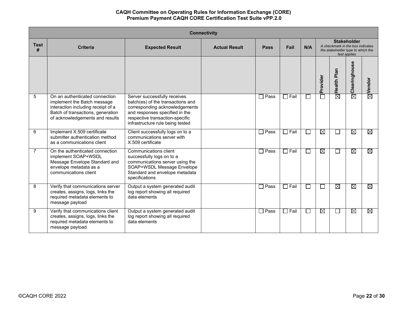|                  | <b>Connectivity</b>                                                                                                                                                         |                                                                                                                                                                                                              |                      |             |             |        |              |                                                                                                             |               |                        |  |  |
|------------------|-----------------------------------------------------------------------------------------------------------------------------------------------------------------------------|--------------------------------------------------------------------------------------------------------------------------------------------------------------------------------------------------------------|----------------------|-------------|-------------|--------|--------------|-------------------------------------------------------------------------------------------------------------|---------------|------------------------|--|--|
| <b>Test</b><br># | <b>Criteria</b>                                                                                                                                                             | <b>Expected Result</b>                                                                                                                                                                                       | <b>Actual Result</b> | <b>Pass</b> | Fail        | N/A    |              | <b>Stakeholder</b><br>A checkmark in the box indicates<br>the stakeholder type to which the<br>test applies |               |                        |  |  |
|                  |                                                                                                                                                                             |                                                                                                                                                                                                              |                      |             |             |        | Provider     | Health Plan                                                                                                 | Clearinghouse | Vendor                 |  |  |
| 5                | On an authenticated connection<br>implement the Batch message<br>interaction including receipt of a<br>Batch of transactions, generation<br>of acknowledgements and results | Server successfully receives<br>batch(es) of the transactions and<br>corresponding acknowledgements<br>and responses specified in the<br>respective transaction-specific<br>infrastructure rule being tested |                      | Pass        | $\Box$ Fail | П      |              | $\overline{\boxtimes}$                                                                                      | ⊠             | ⊠                      |  |  |
| 6                | Implement X.509 certificate<br>submitter authentication method<br>as a communications client                                                                                | Client successfully logs on to a<br>communications server with<br>X.509 certificate                                                                                                                          |                      | Pass        | $\Box$ Fail | П      | ⊠            | $\Box$                                                                                                      | ⊠             | ⊠                      |  |  |
| $\overline{7}$   | On the authenticated connection<br>implement SOAP+WSDL<br>Message Envelope Standard and<br>envelope metadata as a<br>communications client                                  | Communications client<br>successfully logs on to a<br>communications server using the<br>SOAP+WSDL Message Envelope<br>Standard and envelope metadata<br>specifications                                      |                      | Pass        | $\Box$ Fail | $\Box$ | ⊠            | ⊔                                                                                                           | ⊠             | $\boxtimes$            |  |  |
| 8                | Verify that communications server<br>creates, assigns, logs, links the<br>required metadata elements to<br>message payload                                                  | Output a system generated audit<br>log report showing all required<br>data elements                                                                                                                          |                      | Pass        | $\Box$ Fail | $\Box$ | $\mathbf{I}$ | ⊠                                                                                                           | ⊠             | $\overline{\boxtimes}$ |  |  |
| 9                | Verify that communications client<br>creates, assigns, logs, links the<br>required metadata elements to<br>message payload                                                  | Output a system generated audit<br>log report showing all required<br>data elements                                                                                                                          |                      | Pass        | $\Box$ Fail | $\Box$ | ⊠            | $\Box$                                                                                                      | ⊠             | ⊠                      |  |  |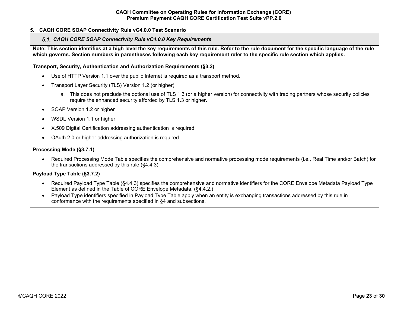# <span id="page-22-1"></span><span id="page-22-0"></span>**5. CAQH CORE SOAP Connectivity Rule vC4.0.0 Test Scenario**

### *CAQH CORE SOAP Connectivity Rule vC4.0.0 Key Requirements*

**Note: This section identifies at a high level the key requirements of this rule. Refer to the rule document for the specific language of the rule which governs. Section numbers in parentheses following each key requirement refer to the specific rule section which applies.**

### **Transport, Security, Authentication and Authorization Requirements (§3.2)**

- Use of HTTP Version 1.1 over the public Internet is required as a transport method.
- Transport Layer Security (TLS) Version 1.2 (or higher).
	- a. This does not preclude the optional use of TLS 1.3 (or a higher version) for connectivity with trading partners whose security policies require the enhanced security afforded by TLS 1.3 or higher.
- SOAP Version 1.2 or higher
- WSDL Version 1.1 or higher
- X.509 Digital Certification addressing authentication is required.
- OAuth 2.0 or higher addressing authorization is required.

# **Processing Mode (§3.7.1)**

• Required Processing Mode Table specifies the comprehensive and normative processing mode requirements (i.e., Real Time and/or Batch) for the transactions addressed by this rule (§4.4.3)

# **Payload Type Table (§3.7.2)**

- Required Payload Type Table (§4.4.3) specifies the comprehensive and normative identifiers for the CORE Envelope Metadata Payload Type Element as defined in the Table of CORE Envelope Metadata. (§4.4.2.)
- Payload Type identifiers specified in Payload Type Table apply when an entity is exchanging transactions addressed by this rule in conformance with the requirements specified in §4 and subsections.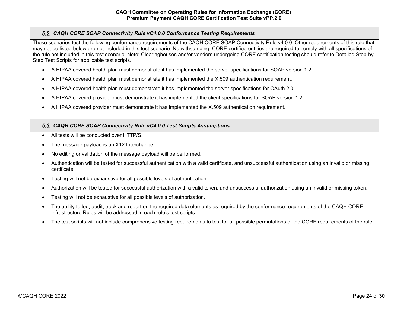# <span id="page-23-0"></span>*CAQH CORE SOAP Connectivity Rule vC4.0.0 Conformance Testing Requirements*

These scenarios test the following conformance requirements of the CAQH CORE SOAP Connectivity Rule v4.0.0. Other requirements of this rule that may not be listed below are not included in this test scenario. Notwithstanding, CORE-certified entities are required to comply with all specifications of the rule not included in this test scenario. Note: Clearinghouses and/or vendors undergoing CORE certification testing should refer to Detailed Step-by-Step Test Scripts for applicable test scripts.

- A HIPAA covered health plan must demonstrate it has implemented the server specifications for SOAP version 1.2.
- A HIPAA covered health plan must demonstrate it has implemented the X.509 authentication requirement.
- A HIPAA covered health plan must demonstrate it has implemented the server specifications for OAuth 2.0
- A HIPAA covered provider must demonstrate it has implemented the client specifications for SOAP version 1.2.
- A HIPAA covered provider must demonstrate it has implemented the X.509 authentication requirement.

# <span id="page-23-1"></span>*CAQH CORE SOAP Connectivity Rule vC4.0.0 Test Scripts Assumptions*

- All tests will be conducted over HTTP/S.
- The message payload is an X12 Interchange.
- No editing or validation of the message payload will be performed.
- Authentication will be tested for successful authentication with a valid certificate, and unsuccessful authentication using an invalid or missing certificate.
- Testing will not be exhaustive for all possible levels of authentication.
- Authorization will be tested for successful authorization with a valid token, and unsuccessful authorization using an invalid or missing token.
- Testing will not be exhaustive for all possible levels of authorization.
- The ability to log, audit, track and report on the required data elements as required by the conformance requirements of the CAQH CORE Infrastructure Rules will be addressed in each rule's test scripts.
- The test scripts will not include comprehensive testing requirements to test for all possible permutations of the CORE requirements of the rule.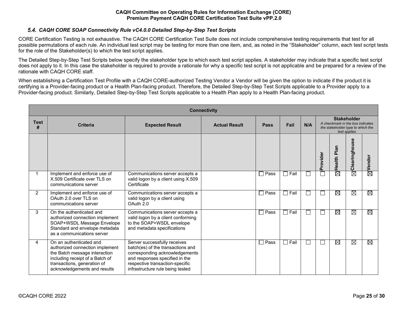# *CAQH CORE SOAP Connectivity Rule vC4.0.0 Detailed Step-by-Step Test Scripts*

<span id="page-24-0"></span>CORE Certification Testing is not exhaustive. The CAQH CORE Certification Test Suite does not include comprehensive testing requirements that test for all possible permutations of each rule. An individual test script may be testing for more than one item, and, as noted in the "Stakeholder" column, each test script tests for the role of the Stakeholder(s) to which the test script applies.

The Detailed Step-by-Step Test Scripts below specify the stakeholder type to which each test script applies. A stakeholder may indicate that a specific test script does not apply to it. In this case the stakeholder is required to provide a rationale for why a specific test script is not applicable and be prepared for a review of the rationale with CAQH CORE staff.

When establishing a Certification Test Profile with a CAQH CORE-authorized Testing Vendor a Vendor will be given the option to indicate if the product it is certifying is a Provider-facing product or a Health Plan-facing product. Therefore, the Detailed Step-by-Step Test Scripts applicable to a Provider apply to a Provider-facing product. Similarly, Detailed Step-by-Step Test Scripts applicable to a Health Plan apply to a Health Plan-facing product.

| <b>Connectivity</b> |                                                                                                                                                                                               |                                                                                                                                                                                                              |                      |                        |             |     |                                                                                                             |                        |                        |                    |
|---------------------|-----------------------------------------------------------------------------------------------------------------------------------------------------------------------------------------------|--------------------------------------------------------------------------------------------------------------------------------------------------------------------------------------------------------------|----------------------|------------------------|-------------|-----|-------------------------------------------------------------------------------------------------------------|------------------------|------------------------|--------------------|
| <b>Test</b><br>#    | <b>Criteria</b>                                                                                                                                                                               | <b>Expected Result</b>                                                                                                                                                                                       | <b>Actual Result</b> | Pass                   | Fail        | N/A | <b>Stakeholder</b><br>A checkmark in the box indicates<br>the stakeholder type to which the<br>test applies |                        |                        |                    |
|                     |                                                                                                                                                                                               |                                                                                                                                                                                                              |                      |                        |             |     | Provider                                                                                                    | Plan<br>Health         | ω<br>Ū)<br>Clearinghou | $\boxtimes$ Vendor |
| 1                   | Implement and enforce use of<br>X.509 Certificate over TLS on<br>communications server                                                                                                        | Communications server accepts a<br>valid logon by a client using X.509<br>Certificate                                                                                                                        |                      | Pass<br>$\blacksquare$ | $\Box$ Fail | Г   |                                                                                                             | $\overline{\boxtimes}$ | $\overline{\boxtimes}$ |                    |
| 2                   | Implement and enforce use of<br>OAuth 2.0 over TLS on<br>communications server                                                                                                                | Communications server accepts a<br>valid logon by a client using<br>OAuth 2.0                                                                                                                                |                      | $\Box$ Pass            | $\Box$ Fail | Ξ   |                                                                                                             | $\overline{\boxtimes}$ | ⊠                      | ⊠                  |
| 3                   | On the authenticated and<br>authorized connection implement<br>SOAP+WSDL Message Envelope<br>Standard and envelope metadata<br>as a communications server                                     | Communications server accepts a<br>valid logon by a client conforming<br>to the SOAP+WSDL envelope<br>and metadata specifications                                                                            |                      | Pass<br>$\blacksquare$ | $\Box$ Fail | L.  |                                                                                                             | $\overline{\boxtimes}$ | ⊠                      | ⊠                  |
| 4                   | On an authenticated and<br>authorized connection implement<br>the Batch message interaction<br>including receipt of a Batch of<br>transactions, generation of<br>acknowledgements and results | Server successfully receives<br>batch(es) of the transactions and<br>corresponding acknowledgements<br>and responses specified in the<br>respective transaction-specific<br>infrastructure rule being tested |                      | Pass<br>$\blacksquare$ | $\Box$ Fail | П   |                                                                                                             | $\boxtimes$            | ⊠                      | ⊠                  |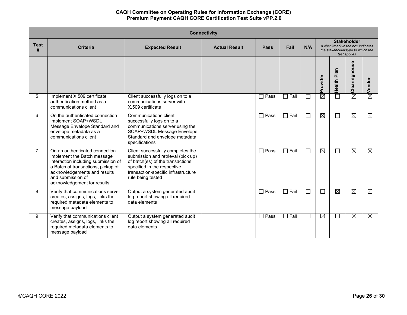| <b>Connectivity</b> |                                                                                                                                                                                                                                |                                                                                                                                                                                                        |                      |             |             |              |                        |                                                                       |               |                    |
|---------------------|--------------------------------------------------------------------------------------------------------------------------------------------------------------------------------------------------------------------------------|--------------------------------------------------------------------------------------------------------------------------------------------------------------------------------------------------------|----------------------|-------------|-------------|--------------|------------------------|-----------------------------------------------------------------------|---------------|--------------------|
| <b>Test</b><br>#    | <b>Criteria</b>                                                                                                                                                                                                                | <b>Expected Result</b>                                                                                                                                                                                 | <b>Actual Result</b> | <b>Pass</b> | Fail        | N/A          |                        | A checkmark in the box indicates<br>the stakeholder type to which the |               |                    |
|                     |                                                                                                                                                                                                                                |                                                                                                                                                                                                        |                      |             |             |              | Provider               | Health Plan                                                           | Clearinghouse | $\boxtimes$ Vendor |
| 5                   | Implement X.509 certificate<br>authentication method as a<br>communications client                                                                                                                                             | Client successfully logs on to a<br>communications server with<br>X.509 certificate                                                                                                                    |                      | $\Box$ Pass | $\Box$ Fail | $\mathsf{I}$ | 茵                      | П                                                                     | $\boxtimes$   |                    |
| 6                   | On the authenticated connection<br>implement SOAP+WSDL<br>Message Envelope Standard and<br>envelope metadata as a<br>communications client                                                                                     | Communications client<br>successfully logs on to a<br>communications server using the<br>SOAP+WSDL Message Envelope<br>Standard and envelope metadata<br>specifications                                |                      | $\Box$ Pass | $\Box$ Fail | $\Box$       | $\boxtimes$            | $\mathcal{L}^{\mathcal{A}}$                                           | $\boxtimes$   | ⊠                  |
| $\overline{7}$      | On an authenticated connection<br>implement the Batch message<br>interaction including submission of<br>a Batch of transactions, pickup of<br>acknowledgements and results<br>and submission of<br>acknowledgement for results | Client successfully completes the<br>submission and retrieval (pick up)<br>of batch(es) of the transactions<br>specified in the respective<br>transaction-specific infrastructure<br>rule being tested |                      | $\Box$ Pass | $\Box$ Fail | $\mathbf{L}$ | $\boxtimes$            | $\Box$                                                                | $\boxtimes$   | ⊠                  |
| 8                   | Verify that communications server<br>creates, assigns, logs, links the<br>required metadata elements to<br>message payload                                                                                                     | Output a system generated audit<br>log report showing all required<br>data elements                                                                                                                    |                      | Pass        | $\Box$ Fail | ΙI           | $\Box$                 | $\boxtimes$                                                           | ⊠             | ⊠                  |
| 9                   | Verify that communications client<br>creates, assigns, logs, links the<br>required metadata elements to<br>message payload                                                                                                     | Output a system generated audit<br>log report showing all required<br>data elements                                                                                                                    |                      | $\Box$ Pass | $\Box$ Fail | $\perp$      | $\overline{\boxtimes}$ | $\Box$                                                                | $\boxtimes$   | ⊠                  |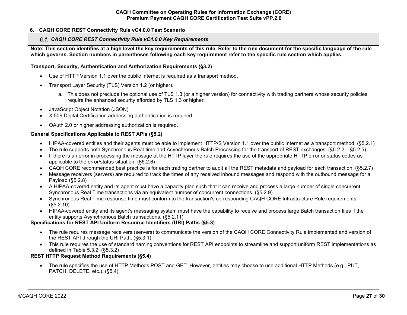# <span id="page-26-1"></span><span id="page-26-0"></span>**6. CAQH CORE REST Connectivity Rule vC4.0.0 Test Scenario**

#### *CAQH CORE REST Connectivity Rule vC4.0.0 Key Requirements*

**Note: This section identifies at a high level the key requirements of this rule. Refer to the rule document for the specific language of the rule which governs. Section numbers in parentheses following each key requirement refer to the specific rule section which applies.** 

#### **Transport, Security, Authentication and Authorization Requirements (§3.2)**

- Use of HTTP Version 1.1 over the public Internet is required as a transport method.
- Transport Layer Security (TLS) Version 1.2 (or higher).
	- a. This does not preclude the optional use of TLS 1.3 (or a higher version) for connectivity with trading partners whose security policies require the enhanced security afforded by TLS 1.3 or higher.
- JavaScript Object Notation (JSON)
- X.509 Digital Certification addressing authentication is required.
- OAuth 2.0 or higher addressing authorization is required.

#### **General Specifications Applicable to REST APIs (§5.2)**

- HIPAA-covered entities and their agents must be able to implement HTTP/S Version 1.1 over the public Internet as a transport method. (§5.2.1)
- The rule supports both Synchronous Real-time and Asynchronous Batch Processing for the transport of REST exchanges. (§5.2.2 §5.2.5)
- If there is an error in processing the message at the HTTP layer the rule requires the use of the appropriate HTTP error or status codes as applicable to the error/status situation. (§5.2.6)
- CAQH CORE recommended best practice is for each trading partner to audit all the REST metadata and payload for each transaction. (§5.2.7)
- Message receivers (servers) are required to track the times of any received inbound messages and respond with the outbound message for a Payload (§5.2.8)
- A HIPAA-covered entity and its agent must have a capacity plan such that it can receive and process a large number of single concurrent Synchronous Real Time transactions via an equivalent number of concurrent connections. (§5.2.9)
- Synchronous Real Time response time must conform to the transaction's corresponding CAQH CORE Infrastructure Rule requirements. (§5.2.10)
- HIPAA-covered entity and its agent's messaging system must have the capability to receive and process large Batch transaction files if the entity supports Asynchronous Batch transactions. (§5.2.11)

# **Specifications for REST API Uniform Resource Identifiers (URI) Paths (§5.3)**

- The rule requires message receivers (servers) to communicate the version of the CAQH CORE Connectivity Rule implemented and version of the REST API through the URI Path. (§5.3.1)
- This rule requires the use of standard naming conventions for REST API endpoints to streamline and support uniform REST implementations as defined in Table 5.3.2. (§5.3.2)

# **REST HTTP Request Method Requirements (§5.4)**

• The rule specifies the use of HTTP Methods POST and GET. However, entities may choose to use additional HTTP Methods (e.g., PUT, PATCH, DELETE, etc.). (§5.4)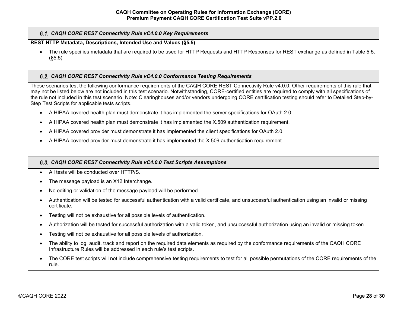# *CAQH CORE REST Connectivity Rule vC4.0.0 Key Requirements*

# **REST HTTP Metadata, Descriptions, Intended Use and Values (§5.5)**

• The rule specifies metadata that are required to be used for HTTP Requests and HTTP Responses for REST exchange as defined in Table 5.5. (§5.5)

# <span id="page-27-0"></span>*CAQH CORE REST Connectivity Rule vC4.0.0 Conformance Testing Requirements*

These scenarios test the following conformance requirements of the CAQH CORE REST Connectivity Rule v4.0.0. Other requirements of this rule that may not be listed below are not included in this test scenario. Notwithstanding, CORE-certified entities are required to comply with all specifications of the rule not included in this test scenario. Note: Clearinghouses and/or vendors undergoing CORE certification testing should refer to Detailed Step-by-Step Test Scripts for applicable tests scripts.

- A HIPAA covered health plan must demonstrate it has implemented the server specifications for OAuth 2.0.
- A HIPAA covered health plan must demonstrate it has implemented the X.509 authentication requirement.
- A HIPAA covered provider must demonstrate it has implemented the client specifications for OAuth 2.0.
- A HIPAA covered provider must demonstrate it has implemented the X.509 authentication requirement.

# <span id="page-27-1"></span>*CAQH CORE REST Connectivity Rule vC4.0.0 Test Scripts Assumptions*

- All tests will be conducted over HTTP/S.
- The message payload is an X12 Interchange.
- No editing or validation of the message payload will be performed.
- Authentication will be tested for successful authentication with a valid certificate, and unsuccessful authentication using an invalid or missing certificate.
- Testing will not be exhaustive for all possible levels of authentication.
- Authorization will be tested for successful authorization with a valid token, and unsuccessful authorization using an invalid or missing token.
- Testing will not be exhaustive for all possible levels of authorization.
- The ability to log, audit, track and report on the required data elements as required by the conformance requirements of the CAQH CORE Infrastructure Rules will be addressed in each rule's test scripts.
- The CORE test scripts will not include comprehensive testing requirements to test for all possible permutations of the CORE requirements of the rule.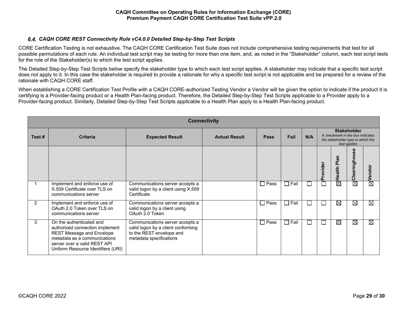# *CAQH CORE REST Connectivity Rule vC4.0.0 Detailed Step-by-Step Test Scripts*

<span id="page-28-0"></span>CORE Certification Testing is not exhaustive. The CAQH CORE Certification Test Suite does not include comprehensive testing requirements that test for all possible permutations of each rule. An individual test script may be testing for more than one item, and, as noted in the "Stakeholder" column, each test script tests for the role of the Stakeholder(s) to which the test script applies.

The Detailed Step-by-Step Test Scripts below specify the stakeholder type to which each test script applies. A stakeholder may indicate that a specific test script does not apply to it. In this case the stakeholder is required to provide a rationale for why a specific test script is not applicable and be prepared for a review of the rationale with CAQH CORE staff.

When establishing a CORE Certification Test Profile with a CAQH CORE-authorized Testing Vendor a Vendor will be given the option to indicate if the product it is certifying is a Provider-facing product or a Health Plan-facing product. Therefore, the Detailed Step-by-Step Test Scripts applicable to a Provider apply to a Provider-facing product. Similarly, Detailed Step-by-Step Test Scripts applicable to a Health Plan apply to a Health Plan-facing product.

| <b>Connectivity</b> |                                                                                                                                                                                                       |                                                                                                                              |                      |             |                |              |                                                                                                             |                |                                  |        |
|---------------------|-------------------------------------------------------------------------------------------------------------------------------------------------------------------------------------------------------|------------------------------------------------------------------------------------------------------------------------------|----------------------|-------------|----------------|--------------|-------------------------------------------------------------------------------------------------------------|----------------|----------------------------------|--------|
| Test#               | <b>Criteria</b>                                                                                                                                                                                       | <b>Expected Result</b>                                                                                                       | <b>Actual Result</b> | <b>Pass</b> | Fail           | N/A          | <b>Stakeholder</b><br>A checkmark in the box indicates<br>the stakeholder type to which the<br>test applies |                |                                  |        |
|                     |                                                                                                                                                                                                       |                                                                                                                              |                      |             |                |              | rovider<br>Ā                                                                                                | Plan<br>Health | $\omega$<br>Ū)<br>O<br>Clearingh | Vendor |
|                     | Implement and enforce use of<br>X.509 Certificate over TLS on<br>communications server                                                                                                                | Communications server accepts a<br>valid logon by a client using X.509<br>Certificate                                        |                      | Pass        | $\Box$ Fail    |              |                                                                                                             | ⊠              | $\boxtimes$                      | ⊠      |
| 2                   | Implement and enforce use of<br>OAuth 2.0 Token over TLS on<br>communications server                                                                                                                  | Communications server accepts a<br>valid logon by a client using<br>OAuth 2.0 Token                                          |                      | Pass        | $\Box$ Fail    |              | ப                                                                                                           | ⊠              | $\boxtimes$                      | ⊠      |
| 3                   | On the authenticated and<br>authorized connection implement<br><b>REST Message and Envelope</b><br>metadata as a communications<br>server over a valid REST API<br>Uniform Resource Identifiers (URI) | Communications server accepts a<br>valid logon by a client conforming<br>to the REST envelope and<br>metadata specifications |                      | Pass        | $\square$ Fail | $\mathsf{L}$ | $\Box$                                                                                                      | ⊠              | $\boxtimes$                      | ⊠      |